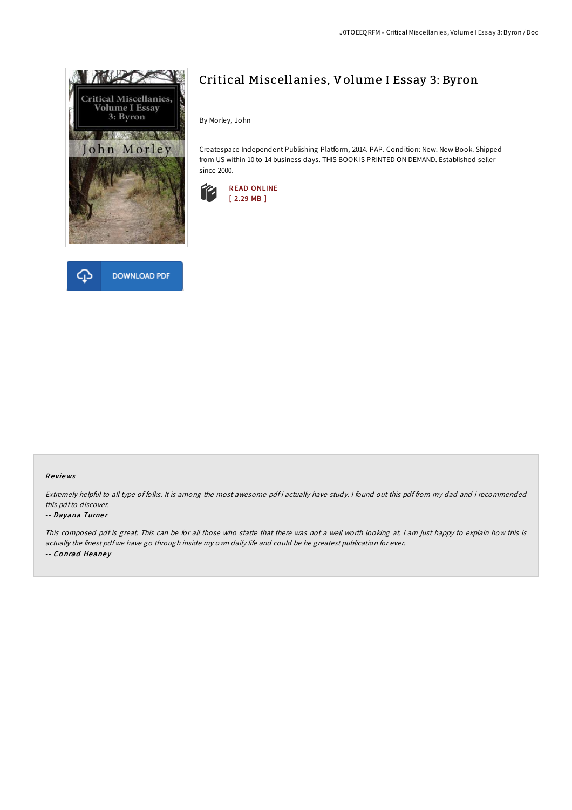



## Critical Miscellanies, Volume I Essay 3: Byron

By Morley, John

Createspace Independent Publishing Platform, 2014. PAP. Condition: New. New Book. Shipped from US within 10 to 14 business days. THIS BOOK IS PRINTED ON DEMAND. Established seller since 2000.



## Re views

Extremely helpful to all type of folks. It is among the most awesome pdf i actually have study. <sup>I</sup> found out this pdf from my dad and i recommended this pdfto discover.

## -- Dayana Turner

This composed pdf is great. This can be for all those who statte that there was not <sup>a</sup> well worth looking at. <sup>I</sup> am just happy to explain how this is actually the finest pdf we have go through inside my own daily life and could be he greatest publication for ever. -- Conrad Heaney